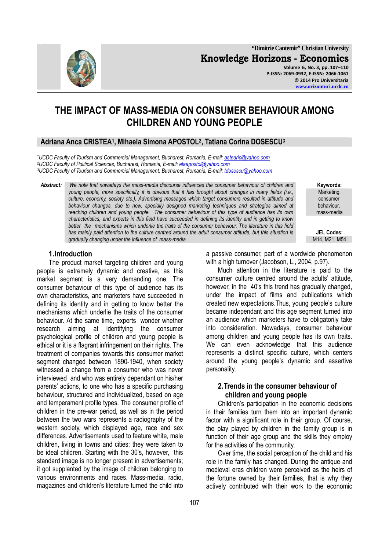**"Dimitrie Cantemir" Christian University Knowledge Horizons - Economics Volume 6, No. 3, pp. 107–110 P-ISSN: 2069-0932, E-ISSN: 2066-1061 © 2014 Pro Universitaria www.orizonturi.ucdc.ro**

# **THE IMPACT OF MASS-MEDIA ON CONSUMER BEHAVIOUR AMONG CHILDREN AND YOUNG PEOPLE**

## **Adriana Anca CRISTEA<sup>1</sup> , Mihaela Simona APOSTOL<sup>2</sup> , Tatiana Corina DOSESCU<sup>3</sup>**

*<sup>1</sup>UCDC Faculty of Tourism and Commercial Management, Bucharest, Romania, E-mail: astearic@yahoo.com <sup>2</sup>UCDC Faculty of Political Sciences, Bucharest, Romania, E-mail: elaapostol@yahoo.com <sup>3</sup>UCDC Faculty of Tourism and Commercial Management, Bucharest, Romania, E-mail: tdosescu@yahoo.com*

*Abstract: We note that nowadays the mass-media discourse influences the consumer behaviour of children and young people, more specifically, it is obvious that it has brought about changes in many fields (i.e., culture, economy, society etc.). Advertising messages which target consumers resulted in attitude and behaviour changes, due to new, specially designed marketing techniques and strategies aimed at reaching children and young people. The consumer behaviour of this type of audience has its own characteristics, and experts in this field have succeeded in defining its identity and in getting to know better the mechanisms which underlie the traits of the consumer behaviour. The literature in this field has mainly paid attention to the culture centred around the adult consumer attitude, but this situation is gradually changing under the influence of mass-media.* 

**1.Introduction** 

The product market targeting children and young people is extremely dynamic and creative, as this market segment is a very demanding one. The consumer behaviour of this type of audience has its own characteristics, and marketers have succeeded in defining its identity and in getting to know better the mechanisms which underlie the traits of the consumer behaviour. At the same time, experts wonder whether research aiming at identifying the consumer psychological profile of children and young people is ethical or it is a flagrant infringement on their rights. The treatment of companies towards this consumer market segment changed between 1890-1940, when society witnessed a change from a consumer who was never interviewed and who was entirely dependant on his/her parents' actions, to one who has a specific purchasing behaviour, structured and individualized, based on age and temperament profile types. The consumer profile of children in the pre-war period, as well as in the period between the two wars represents a radiography of the western society, which displayed age, race and sex differences. Advertisements used to feature white, male children, living in towns and cities; they were taken to be ideal children. Starting with the 30's, however, this standard image is no longer present in advertisements; it got supplanted by the image of children belonging to various environments and races. Mass-media, radio, magazines and children's literature turned the child into

a passive consumer, part of a wordwide phenomenon with a high turnover (Jacobson, L., 2004, p.97).

Much attention in the literature is paid to the consumer culture centred around the adults' attitude, however, in the 40's this trend has gradually changed, under the impact of films and publications which created new expectations.Thus, young people's culture became independant and this age segment turned into an audience which marketers have to obligatorily take into consideration. Nowadays, consumer behaviour among children and young people has its own traits. We can even acknowledge that this audience represents a distinct specific culture, which centers around the young people's dynamic and assertive personality.

#### **2.Trends in the consumer behaviour of children and young people**

Children's participation in the economic decisions in their families turn them into an important dynamic factor with a significant role in their group. Of course, the play played by children in the family group is in function of their age group and the skills they employ for the activities of the community.

Over time, the social perception of the child and his role in the family has changed. During the antique and medieval eras children were perceived as the heirs of the fortune owned by their families, that is why they actively contributed with their work to the economic



 **Keywords:** Marketing, consumer behaviour, mass-media

**JEL Codes:**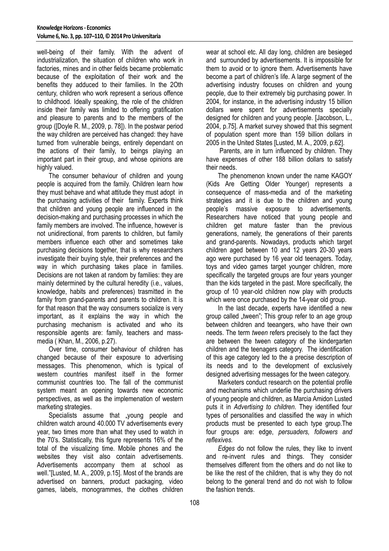well-being of their family. With the advent of industrialization, the situation of children who work in factories, mines and in other fields became problematic because of the exploitation of their work and the benefits they adduced to their families. In the 2Oth century, children who work represent a serious offence to childhood. Ideally speaking, the role of the children inside their family was limited to offering gratification and pleasure to parents and to the members of the group ([Doyle R. M., 2009, p. 78]). In the postwar period the way children are perceived has changed: they have turned from vulnerable beings, entirely dependant on the actions of their family, to beings playing an important part in their group, and whose opinions are highly valued.

The consumer behaviour of children and young people is acquired from the family. Children learn how they must behave and what attitude they must adopt in the purchasing activities of their family. Experts think that children and young people are influenced in the decision-making and purchasing processes in which the family members are involved. The influence, however is not unidirectional, from parents to children, but family members influence each other and sometimes take purchasing decisions together, that is why researchers investigate their buying style, their preferences and the way in which purchasing takes place in families. Decisions are not taken at random by families: they are mainly determined by the cultural heredity (i.e., values, knowledge, habits and preferences) trasmitted in the family from grand-parents and parents to children. It is for that reason that the way consumers socialize is very important, as it explains the way in which the purchasing mechanism is activated and who its responsible agents are: family, teachers and massmedia ( Khan, M., 2006, p.27).

Over time, consumer behaviour of children has changed because of their exposure to advertising messages. This phenomenon, which is typical of western countries manifest itself in the former communist countries too. The fall of the communist system meant an opening towards new economic perspectives, as well as the implemenation of western marketing strategies.

Specialists assume that "young people and children watch around 40.000 TV advertisements every year, two times more than what they used to watch in the 70's. Statistically, this figure represents 16% of the total of the visualizing time. Mobile phones and the websites they visit also contain advertisements. Advertisements accompany them at school as well."[Lusted, M. A., 2009, p.15]. Most of the brands are advertised on banners, product packaging, video games, labels, monogrammes, the clothes children

wear at school etc. All day long, children are besieged and surrounded by advertisements. It is impossible for them to avoid or to ignore them. Advertisements have become a part of children's life. A large segment of the advertising industry focuses on children and young people, due to their extremely big purchasing power. In 2004, for instance, in the advertising industry 15 billion dollars were spent for advertisements specially designed for children and young people. [Jacobson, L., 2004, p.75]. A market survey showed that this segment of population spent more than 159 billion dollars in 2005 in the United States [Lusted, M. A., 2009, p.62].

 Parents, are in turn influenced by children. They have expenses of other 188 billion dollars to satisfy their needs.

The phenomenon known under the name KAGOY (Kids Are Getting Older Younger) represents a consequence of mass-media and of the marketing strategies and it is due to the children and young people's massive exposure to advertisements. Researchers have noticed that young people and children get mature faster than the previous generations, namely, the generations of their parents and grand-parents. Nowadays, products which target children aged between 10 and 12 years 20-30 years ago were purchased by 16 year old teenagers. Today, toys and video games target younger children, more specifically the targeted groups are four years younger than the kids targeted in the past. More specifically, the group of 10 year-old children now play with products which were once purchased by the 14-year old group.

 In the last decade, experts have identified a new group called "tween"; This group refer to an age group between children and teeangers, who have their own needs. The term *tween* refers precisely to the fact they are between the tween category of the kindergarten children and the teenagers category. The identification of this age category led to the a precise description of its needs and to the development of exclusively designed advertising messages for the tween category.

Marketers conduct research on the potential profile and mechanisms which underlie the purchasing drivers of young people and children, as Marcia Amidon Lusted puts it in *Advertising to children*. They identified four types of personalities and classified the way in which products must be presented to each type group.The four groups are: edge, *persuaders, followers and reflexives.*

*Edges* do not follow the rules, they like to invent and re-invent rules and things. They consider themselves different from the others and do not like to be like the rest of the children, that is why they do not belong to the general trend and do not wish to follow the fashion trends.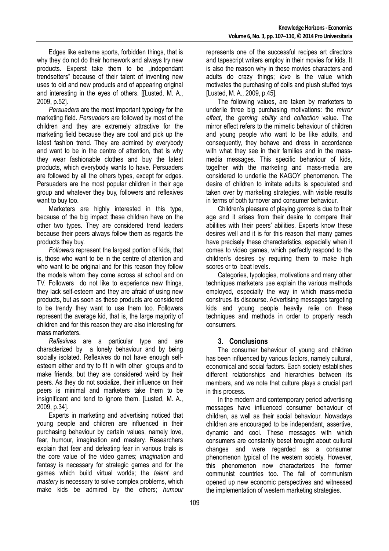Edges like extreme sports, forbidden things, that is why they do not do their homework and always try new products. Experst take them to be "independant trendsetters" because of their talent of inventing new uses to old and new products and of appearing original and interesting in the eyes of others. [[Lusted, M. A., 2009, p.52].

*Persuaders* are the most important typology for the marketing field. *Persuaders* are followed by most of the children and they are extremely attractive for the marketing field because they are cool and pick up the latest fashion trend. They are admired by everybody and want to be in the centre of attention, that is why they wear fashionable clothes and buy the latest products, which everybody wants to have. Persuaders are followed by all the others types, except for edges. Persuaders are the most popular children in their age group and whatever they buy, followers and reflexives want to buy too.

Marketers are highly interested in this type, because of the big impact these children have on the other two types. They are considered trend leaders because their peers always follow them as regards the products they buy.

*Followers* represent the largest portion of kids, that is, those who want to be in the centre of attention and who want to be original and for this reason they follow the models whom they come across at school and on TV. Followers do not like to experience new things, they lack self-esteem and they are afraid of using new products, but as soon as these products are considered to be trendy they want to use them too. Followers represent the average kid, that is, the large majority of children and for this reason they are also interesting for mass marketers.

*Reflexives* are a particular type and are characterized by a lonely behaviour and by being socially isolated. Reflexives do not have enough selfesteem either and try to fit in with other groups and to make friends, but they are considered weird by their peers. As they do not socialize, their influence on their peers is minimal and marketers take them to be insignificant and tend to ignore them. [Lusted, M. A., 2009, p.34].

Experts in marketing and advertising noticed that young people and children are influenced in their purchasing behaviour by certain values, namely love, fear, humour, imagination and mastery. Researchers explain that f*ear* and defeating fear in various trials is the core value of the video games; *imagination* and fantasy is necessary for strategic games and for the games which build virtual worlds; the *talent* and *mastery* is necessary to solve complex problems, which make kids be admired by the others; *humour* represents one of the successful recipes art directors and tapescript writers employ in their movies for kids. It is also the reason why in these movies characters and adults do crazy things; *love* is the value which motivates the purchasing of dolls and plush stuffed toys [Lusted, M. A., 2009, p.45].

The following values, are taken by marketers to underlie three big purchasing motivations: the *mirror effect*, the *gaming ability* and *collection* value. The mirror effect refers to the mimetic behaviour of children and young people who want to be like adults, and consequently, they behave and dress in accordance with what they see in their families and in the massmedia messages. This specific behaviour of kids, together with the marketing and mass-media are considered to underlie the KAGOY phenomenon. The desire of children to imitate adults is speculated and taken over by marketing strategies, with visible results in terms of both turnover and consumer behaviour.

Children's pleasure of playing *games* is due to their age and it arises from their desire to compare their abilities with their peers' abilities. Experts know these desires well and it is for this reason that many games have precisely these characteristics, especially when it comes to video games, which perfectly respond to the children's desires by requiring them to make high scores or to beat levels.

Categories, typologies, motivations and many other techniques marketers use explain the various methods employed, especially the way in which mass-media construes its discourse. Advertising messages targeting kids and young people heavily relie on these techniques and methods in order to properly reach consumers.

### **3. Conclusions**

The consumer behaviour of young and children has been influenced by various factors, namely cultural, economical and social factors. Each society establishes different relationships and hierarchies between its members, and we note that culture plays a crucial part in this process.

In the modern and contemporary period advertising messages have influenced consumer behaviour of children, as well as their social behaviour. Nowadays children are encouraged to be independant, assertive, dynamic and cool. These messages with which consumers are constantly beset brought about cultural changes and were regarded as a consumer phenomenon typical of the western society. However, this phenomenon now characterizes the former communist countries too. The fall of communism opened up new economic perspectives and witnessed the implementation of western marketing strategies.